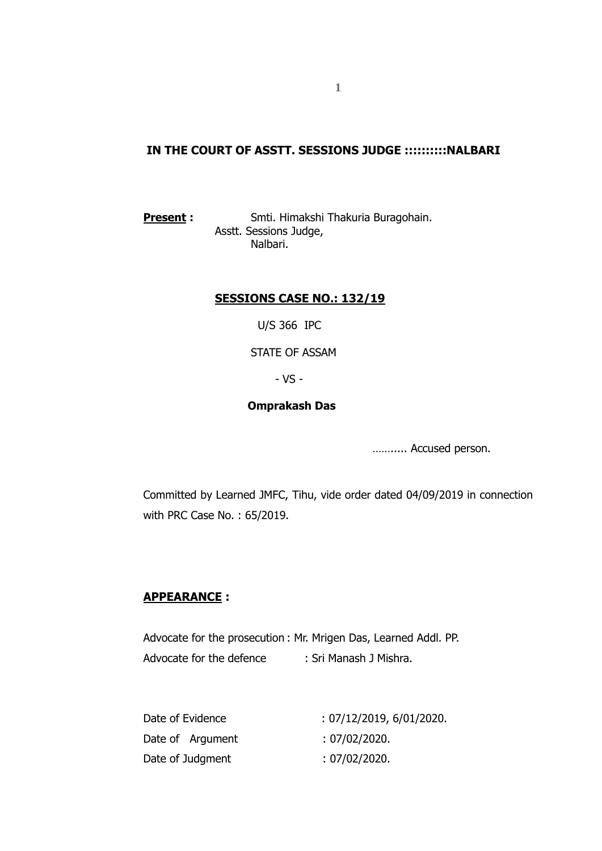### **IN THE COURT OF ASSTT. SESSIONS JUDGE ::::::::::NALBARI**

**Present :** Smti. Himakshi Thakuria Buragohain. Asstt. Sessions Judge, Nalbari.

#### **SESSIONS CASE NO.: 132/19**

U/S 366 IPC

STATE OF ASSAM

- VS -

#### **Omprakash Das**

……..... Accused person.

Committed by Learned JMFC, Tihu, vide order dated 04/09/2019 in connection with PRC Case No. : 65/2019.

#### **APPEARANCE :**

Advocate for the prosecution : Mr. Mrigen Das, Learned Addl. PP. Advocate for the defence : Sri Manash J Mishra.

| Date of Evidence | : 07/12/2019, 6/01/2020. |
|------------------|--------------------------|
| Date of Argument | : 07/02/2020.            |
| Date of Judgment | : 07/02/2020.            |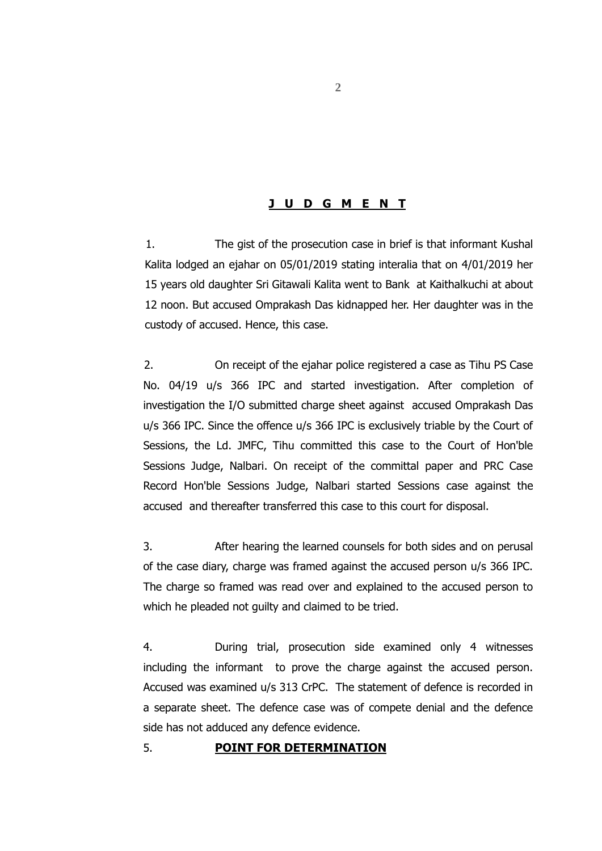#### **J U D G M E N T**

1. The gist of the prosecution case in brief is that informant Kushal Kalita lodged an ejahar on 05/01/2019 stating interalia that on 4/01/2019 her 15 years old daughter Sri Gitawali Kalita went to Bank at Kaithalkuchi at about 12 noon. But accused Omprakash Das kidnapped her. Her daughter was in the custody of accused. Hence, this case.

2. On receipt of the ejahar police registered a case as Tihu PS Case No. 04/19 u/s 366 IPC and started investigation. After completion of investigation the I/O submitted charge sheet against accused Omprakash Das u/s 366 IPC. Since the offence u/s 366 IPC is exclusively triable by the Court of Sessions, the Ld. JMFC, Tihu committed this case to the Court of Hon'ble Sessions Judge, Nalbari. On receipt of the committal paper and PRC Case Record Hon'ble Sessions Judge, Nalbari started Sessions case against the accused and thereafter transferred this case to this court for disposal.

3. After hearing the learned counsels for both sides and on perusal of the case diary, charge was framed against the accused person u/s 366 IPC. The charge so framed was read over and explained to the accused person to which he pleaded not guilty and claimed to be tried.

4. During trial, prosecution side examined only 4 witnesses including the informant to prove the charge against the accused person. Accused was examined u/s 313 CrPC. The statement of defence is recorded in a separate sheet. The defence case was of compete denial and the defence side has not adduced any defence evidence.

#### 5. **POINT FOR DETERMINATION**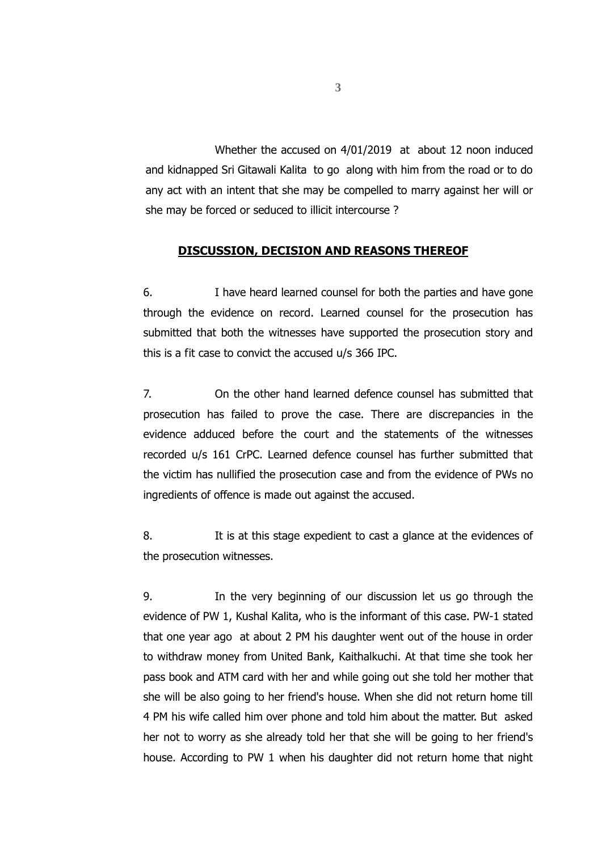Whether the accused on 4/01/2019 at about 12 noon induced and kidnapped Sri Gitawali Kalita to go along with him from the road or to do any act with an intent that she may be compelled to marry against her will or she may be forced or seduced to illicit intercourse ?

#### **DISCUSSION, DECISION AND REASONS THEREOF**

6. I have heard learned counsel for both the parties and have gone through the evidence on record. Learned counsel for the prosecution has submitted that both the witnesses have supported the prosecution story and this is a fit case to convict the accused u/s 366 IPC.

7. On the other hand learned defence counsel has submitted that prosecution has failed to prove the case. There are discrepancies in the evidence adduced before the court and the statements of the witnesses recorded u/s 161 CrPC. Learned defence counsel has further submitted that the victim has nullified the prosecution case and from the evidence of PWs no ingredients of offence is made out against the accused.

8. It is at this stage expedient to cast a glance at the evidences of the prosecution witnesses.

9. In the very beginning of our discussion let us go through the evidence of PW 1, Kushal Kalita, who is the informant of this case. PW-1 stated that one year ago at about 2 PM his daughter went out of the house in order to withdraw money from United Bank, Kaithalkuchi. At that time she took her pass book and ATM card with her and while going out she told her mother that she will be also going to her friend's house. When she did not return home till 4 PM his wife called him over phone and told him about the matter. But asked her not to worry as she already told her that she will be going to her friend's house. According to PW 1 when his daughter did not return home that night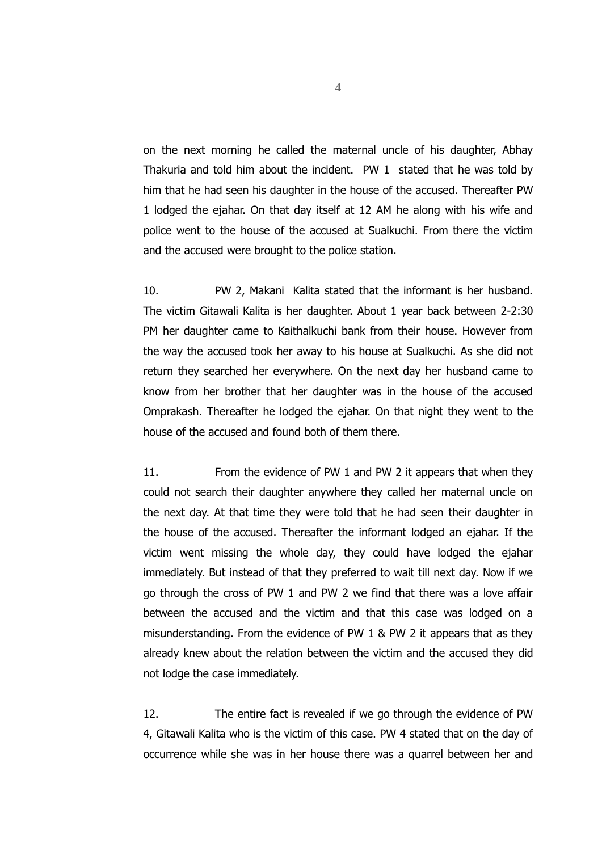on the next morning he called the maternal uncle of his daughter, Abhay Thakuria and told him about the incident. PW 1 stated that he was told by him that he had seen his daughter in the house of the accused. Thereafter PW 1 lodged the ejahar. On that day itself at 12 AM he along with his wife and police went to the house of the accused at Sualkuchi. From there the victim and the accused were brought to the police station.

10. PW 2, Makani Kalita stated that the informant is her husband. The victim Gitawali Kalita is her daughter. About 1 year back between 2-2:30 PM her daughter came to Kaithalkuchi bank from their house. However from the way the accused took her away to his house at Sualkuchi. As she did not return they searched her everywhere. On the next day her husband came to know from her brother that her daughter was in the house of the accused Omprakash. Thereafter he lodged the ejahar. On that night they went to the house of the accused and found both of them there.

11. From the evidence of PW 1 and PW 2 it appears that when they could not search their daughter anywhere they called her maternal uncle on the next day. At that time they were told that he had seen their daughter in the house of the accused. Thereafter the informant lodged an ejahar. If the victim went missing the whole day, they could have lodged the ejahar immediately. But instead of that they preferred to wait till next day. Now if we go through the cross of PW 1 and PW 2 we find that there was a love affair between the accused and the victim and that this case was lodged on a misunderstanding. From the evidence of PW 1 & PW 2 it appears that as they already knew about the relation between the victim and the accused they did not lodge the case immediately.

12. The entire fact is revealed if we go through the evidence of PW 4, Gitawali Kalita who is the victim of this case. PW 4 stated that on the day of occurrence while she was in her house there was a quarrel between her and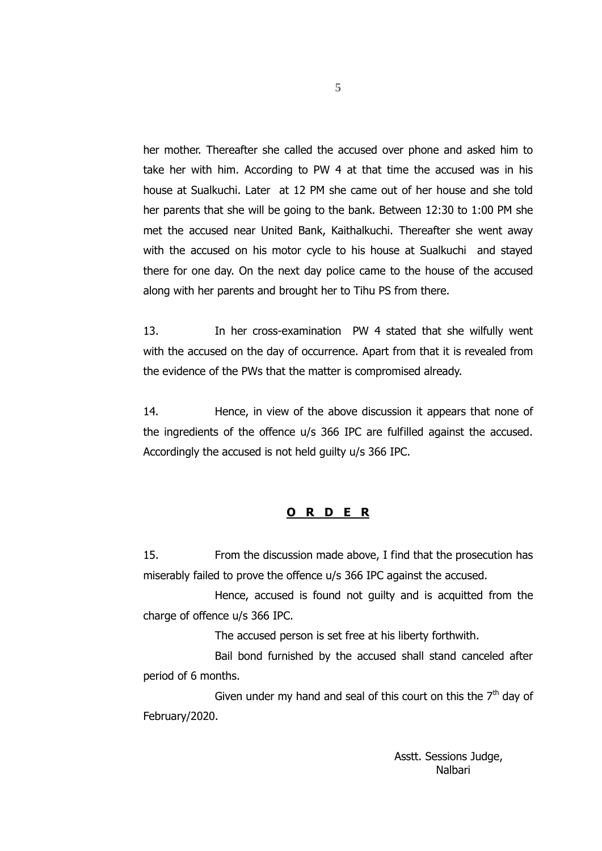her mother. Thereafter she called the accused over phone and asked him to take her with him. According to PW 4 at that time the accused was in his house at Sualkuchi. Later at 12 PM she came out of her house and she told her parents that she will be going to the bank. Between 12:30 to 1:00 PM she met the accused near United Bank, Kaithalkuchi. Thereafter she went away with the accused on his motor cycle to his house at Sualkuchi and stayed there for one day. On the next day police came to the house of the accused along with her parents and brought her to Tihu PS from there.

13. In her cross-examination PW 4 stated that she wilfully went with the accused on the day of occurrence. Apart from that it is revealed from the evidence of the PWs that the matter is compromised already.

14. Hence, in view of the above discussion it appears that none of the ingredients of the offence u/s 366 IPC are fulfilled against the accused. Accordingly the accused is not held guilty u/s 366 IPC.

#### **O R D E R**

15. From the discussion made above, I find that the prosecution has miserably failed to prove the offence u/s 366 IPC against the accused.

Hence, accused is found not guilty and is acquitted from the charge of offence u/s 366 IPC.

The accused person is set free at his liberty forthwith.

Bail bond furnished by the accused shall stand canceled after period of 6 months.

Given under my hand and seal of this court on this the  $7<sup>th</sup>$  day of February/2020.

> Asstt. Sessions Judge, Nalbari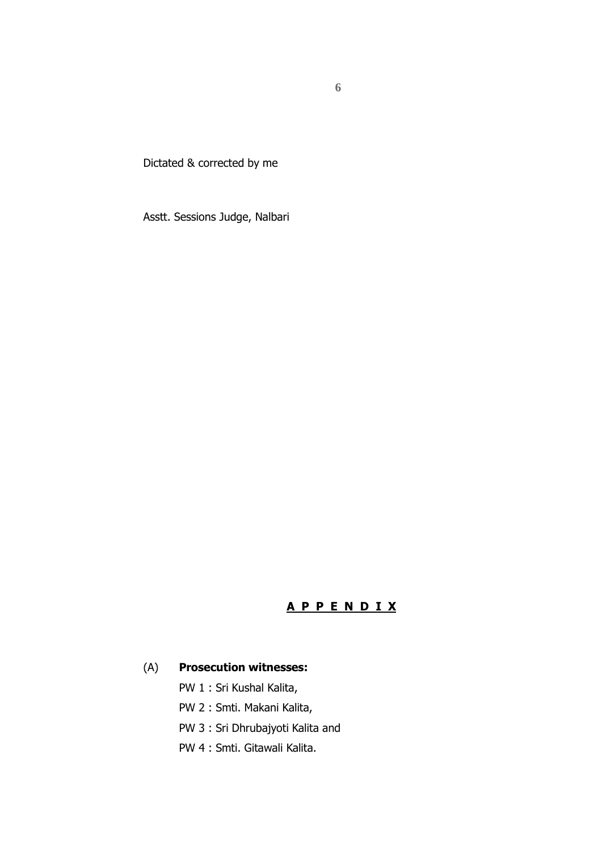Dictated & corrected by me

Asstt. Sessions Judge, Nalbari

# **A P P E N D I X**

#### (A) **Prosecution witnesses:**

- PW 1 : Sri Kushal Kalita,
- PW 2 : Smti. Makani Kalita,
- PW 3 : Sri Dhrubajyoti Kalita and
- PW 4 : Smti. Gitawali Kalita.